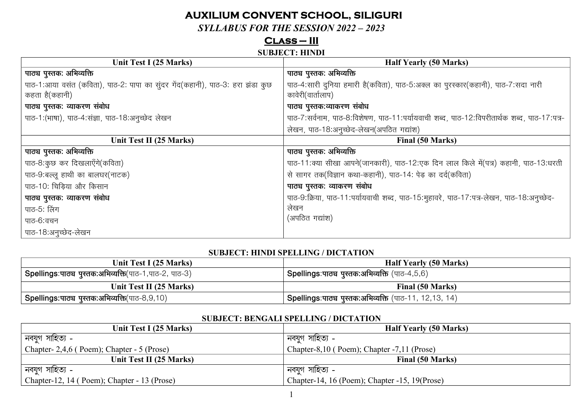# **AUXILIUM CONVENT SCHOOL, SILIGURI**

*SYLLABUS FOR THE SESSION 2022 – 2023* 

## **Class – III**

## **SUBJECT: HINDI**

| Unit Test I (25 Marks)                                                        | <b>Half Yearly (50 Marks)</b>                                                              |
|-------------------------------------------------------------------------------|--------------------------------------------------------------------------------------------|
| पाठ्य पुस्तक: अभिव्यक्ति                                                      | पाठ्य पुस्तक: अभिव्यक्ति                                                                   |
| पाठ-1:आया वसंत (कविता), पाठ-2: पापा का सुंदर गेंद(कहानी), पाठ-3: हरा झंडा कुछ | पाठ-4:सारी दुनिया हमारी है(कविता), पाठ-5:अक्ल का पुरस्कार(कहानी), पाठ-7:सदा नारी           |
| कहता है(कहानी)                                                                | कावेरी(वार्तालाप)                                                                          |
| पाठ्य पुस्तक: व्याकरण संबोध                                                   | पाठ्य पुस्तक:व्याकरण संबोध                                                                 |
| पाठ-1: (भाषा), पाठ-4: संज्ञा, पाठ-18:अनुच्छेद लेखन                            | पाठ-7:सर्वनाम, पाठ-8:विशेषण, पाठ-11:पर्यायवाची शब्द, पाठ-12:विपरीतार्थक शब्द, पाठ-17:पत्र- |
|                                                                               | लेखन, पाठ-18:अनुच्छेद-लेखन(अपठित गद्यांश)                                                  |
| Unit Test II (25 Marks)                                                       | Final (50 Marks)                                                                           |
| पाठ्य पुस्तक: अभिव्यक्ति                                                      | पाठ्य पुस्तक: अभिव्यक्ति                                                                   |
| पाठ-8:कुछ कर दिखलाएँगे(कविता)                                                 | पाठ-11:क्या सीखा आपने(जानकारी), पाठ-12:एक दिन लाल किले में(पत्र) कहानी, पाठ-13:धरती        |
| पाठ-9:बल्लू हाथी का बालघर(नाटक)                                               | से सागर तक(विज्ञान कथा-कहानी), पाठ-14: पेड़ का दर्द(कविता)                                 |
| पाठ-10: चिड़िया और किसान                                                      | पाठ्य पुस्तक: व्याकरण संबोध                                                                |
| पाठ्य पुस्तक: व्याकरण संबोध                                                   | पाठ-9:क्रिया, पाठ-11:पर्यायवाची शब्द, पाठ-15:मुहावरे, पाठ-17:पत्र-लेखन, पाठ-18:अनुच्छेद-   |
| पाठ-5: लिंग                                                                   | लेखन                                                                                       |
| पाठ-6:वचन                                                                     | (अपठित गद्यांश)                                                                            |
| पाठ-18:अनुच्छेद-लेखन                                                          |                                                                                            |

#### **SUBJECT: HINDI SPELLING / DICTATION**

| Unit Test I (25 Marks)                                             | <b>Half Yearly (50 Marks)</b>                         |
|--------------------------------------------------------------------|-------------------------------------------------------|
| <sup>।</sup> Spellings:पाठ्य पुस्तक:अभिव्यक्ति(पाठ-1,पाठ-2, पाठ-3) | l Spellings:पाठ्य पुस्तक:अभिव्यक्ति (पाठ-4,5,6)       |
| Unit Test II (25 Marks)                                            | Final (50 Marks)                                      |
| <b>Spellings:पाट्य पुस्तक:अभिव्यक्ति</b> (पाठ-8,9,10)              | Spellings:पाठ्य पुस्तक:अभिव्यक्ति (पाठ-11, 12,13, 14) |

## **SUBJECT: BENGALI SPELLING / DICTATION**

| Unit Test I (25 Marks)                      | <b>Half Yearly (50 Marks)</b>                  |
|---------------------------------------------|------------------------------------------------|
| নবযুগ সাহিত্য -                             | ানবযুগ সাহিত্য -                               |
| Chapter-2,4,6 (Poem); Chapter - 5 (Prose)   | Chapter-8,10 (Poem); Chapter -7,11 (Prose)     |
| Unit Test II (25 Marks)                     | Final (50 Marks)                               |
| নবযুগ সাহিত্য -                             | নবযুগ সাহিত্য -                                |
| Chapter-12, 14 (Poem); Chapter - 13 (Prose) | Chapter-14, 16 (Poem); Chapter -15, 19 (Prose) |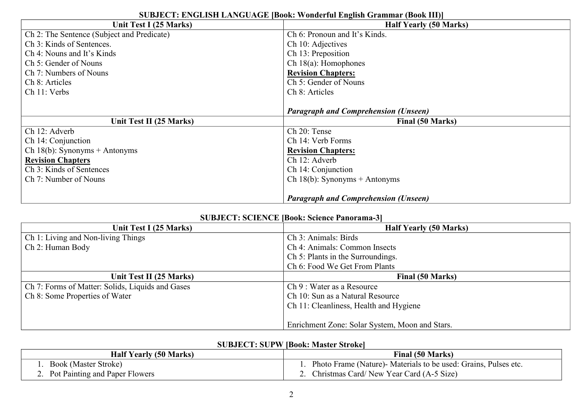| Unit Test I (25 Marks)                     | <b>Half Yearly (50 Marks)</b>               |
|--------------------------------------------|---------------------------------------------|
| Ch 2: The Sentence (Subject and Predicate) | Ch 6: Pronoun and It's Kinds.               |
| Ch 3: Kinds of Sentences.                  | Ch 10: Adjectives                           |
| Ch 4: Nouns and It's Kinds                 | Ch 13: Preposition                          |
| Ch 5: Gender of Nouns                      | Ch $18(a)$ : Homophones                     |
| Ch 7: Numbers of Nouns                     | <b>Revision Chapters:</b>                   |
| Ch 8: Articles                             | Ch 5: Gender of Nouns                       |
| Ch 11: Verbs                               | Ch 8: Articles                              |
|                                            |                                             |
|                                            | <b>Paragraph and Comprehension (Unseen)</b> |
| Unit Test II (25 Marks)                    | Final (50 Marks)                            |
| Ch 12: Adverb                              | Ch 20: Tense                                |
| Ch 14: Conjunction                         | Ch 14: Verb Forms                           |
| Ch 18(b): Synonyms + Antonyms              | <b>Revision Chapters:</b>                   |
| <b>Revision Chapters</b>                   | Ch 12: Adverb                               |
| Ch 3: Kinds of Sentences                   | Ch 14: Conjunction                          |
| Ch 7: Number of Nouns                      | Ch 18(b): Synonyms + Antonyms               |
|                                            |                                             |
|                                            | <b>Paragraph and Comprehension (Unseen)</b> |

## **SUBJECT: ENGLISH LANGUAGE [Book: Wonderful English Grammar (Book III)]**

## **SUBJECT: SCIENCE [Book: Science Panorama-3]**

| Unit Test I (25 Marks)                           | <b>Half Yearly (50 Marks)</b>                  |
|--------------------------------------------------|------------------------------------------------|
| <b>Ch 1: Living and Non-living Things</b>        | Ch 3: Animals: Birds                           |
| Ch 2: Human Body                                 | Ch 4: Animals: Common Insects                  |
|                                                  | Ch 5: Plants in the Surroundings.              |
|                                                  | Ch 6: Food We Get From Plants                  |
| Unit Test II (25 Marks)                          | Final (50 Marks)                               |
| Ch 7: Forms of Matter: Solids, Liquids and Gases | Ch 9 : Water as a Resource                     |
| Ch 8: Some Properties of Water                   | Ch 10: Sun as a Natural Resource               |
|                                                  | Ch 11: Cleanliness, Health and Hygiene         |
|                                                  |                                                |
|                                                  | Enrichment Zone: Solar System, Moon and Stars. |

## **SUBJECT: SUPW [Book: Master Stroke]**

| <b>Half Yearly (50 Marks)</b>     | Final (50 Marks)                                               |
|-----------------------------------|----------------------------------------------------------------|
| <b>Book (Master Stroke)</b>       | Photo Frame (Nature) Materials to be used: Grains, Pulses etc. |
| 2. Pot Painting and Paper Flowers | 2. Christmas Card/New Year Card (A-5 Size)                     |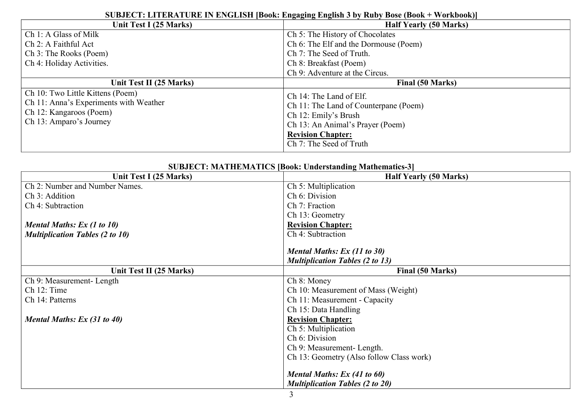| Unit Test I (25 Marks)                                                                                                           | <b>Half Yearly (50 Marks)</b>                                                                                                                                                       |
|----------------------------------------------------------------------------------------------------------------------------------|-------------------------------------------------------------------------------------------------------------------------------------------------------------------------------------|
| Ch 1: A Glass of Milk                                                                                                            | Ch 5: The History of Chocolates                                                                                                                                                     |
| Ch 2: A Faithful Act                                                                                                             | Ch 6: The Elf and the Dormouse (Poem)                                                                                                                                               |
| Ch 3: The Rooks (Poem)                                                                                                           | Ch 7: The Seed of Truth.                                                                                                                                                            |
| Ch 4: Holiday Activities.                                                                                                        | Ch 8: Breakfast (Poem)                                                                                                                                                              |
|                                                                                                                                  | Ch 9: Adventure at the Circus.                                                                                                                                                      |
| Unit Test II (25 Marks)                                                                                                          | Final (50 Marks)                                                                                                                                                                    |
| Ch 10: Two Little Kittens (Poem)<br>Ch 11: Anna's Experiments with Weather<br>Ch 12: Kangaroos (Poem)<br>Ch 13: Amparo's Journey | Ch 14: The Land of Elf.<br>Ch 11: The Land of Counterpane (Poem)<br>Ch 12: Emily's Brush<br>Ch 13: An Animal's Prayer (Poem)<br><b>Revision Chapter:</b><br>Ch 7: The Seed of Truth |

## **SUBJECT: LITERATURE IN ENGLISH [Book: Engaging English 3 by Ruby Bose (Book + Workbook)]**

| <b>SUBJECT: MATHEMATICS [Book: Understanding Mathematics-3]</b> |  |  |
|-----------------------------------------------------------------|--|--|
| <b>Half Yearly (50 Marks)</b>                                   |  |  |
| Ch 5: Multiplication                                            |  |  |
| Ch 6: Division                                                  |  |  |
| Ch 7: Fraction                                                  |  |  |
| Ch 13: Geometry                                                 |  |  |
| <b>Revision Chapter:</b>                                        |  |  |
| Ch 4: Subtraction                                               |  |  |
|                                                                 |  |  |
| Mental Maths: Ex (11 to 30)                                     |  |  |
| <b>Multiplication Tables (2 to 13)</b>                          |  |  |
| Final (50 Marks)                                                |  |  |
| Ch 8: Money                                                     |  |  |
| Ch 10: Measurement of Mass (Weight)                             |  |  |
| Ch 11: Measurement - Capacity                                   |  |  |
| Ch 15: Data Handling                                            |  |  |
| <b>Revision Chapter:</b>                                        |  |  |
| Ch 5: Multiplication                                            |  |  |
| Ch 6: Division                                                  |  |  |
| Ch 9: Measurement-Length.                                       |  |  |
| Ch 13: Geometry (Also follow Class work)                        |  |  |
| Mental Maths: Ex (41 to 60)                                     |  |  |
| <b>Multiplication Tables (2 to 20)</b>                          |  |  |
|                                                                 |  |  |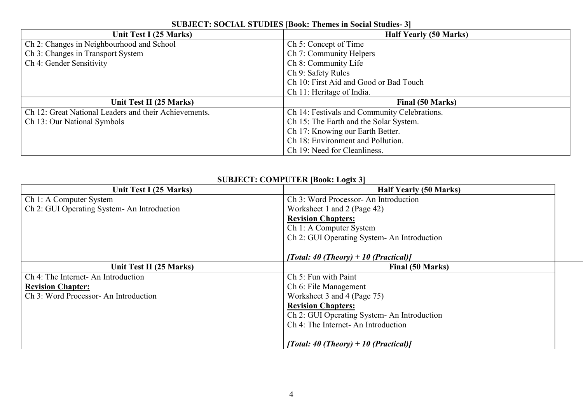| Unit Test I (25 Marks)                                | <b>Half Yearly (50 Marks)</b>                |
|-------------------------------------------------------|----------------------------------------------|
| Ch 2: Changes in Neighbourhood and School             | Ch 5: Concept of Time                        |
| Ch 3: Changes in Transport System                     | Ch 7: Community Helpers                      |
| Ch 4: Gender Sensitivity                              | Ch 8: Community Life                         |
|                                                       | Ch 9: Safety Rules                           |
|                                                       | Ch 10: First Aid and Good or Bad Touch       |
|                                                       | Ch 11: Heritage of India.                    |
| Unit Test II (25 Marks)                               | Final (50 Marks)                             |
| Ch 12: Great National Leaders and their Achievements. | Ch 14: Festivals and Community Celebrations. |
| Ch 13: Our National Symbols                           | Ch 15: The Earth and the Solar System.       |
|                                                       | Ch 17: Knowing our Earth Better.             |
|                                                       | Ch 18: Environment and Pollution.            |
|                                                       | Ch 19: Need for Cleanliness.                 |

## **SUBJECT: SOCIAL STUDIES [Book: Themes in Social Studies- 3]**

## **SUBJECT: COMPUTER [Book: Logix 3]**

| Unit Test I (25 Marks)                       | <b>Half Yearly (50 Marks)</b>               |
|----------------------------------------------|---------------------------------------------|
| Ch 1: A Computer System                      | Ch 3: Word Processor-An Introduction        |
| Ch 2: GUI Operating System - An Introduction | Worksheet 1 and 2 (Page 42)                 |
|                                              | <b>Revision Chapters:</b>                   |
|                                              | Ch 1: A Computer System                     |
|                                              | Ch 2: GUI Operating System- An Introduction |
|                                              |                                             |
|                                              | [Total: 40 (Theory) + 10 (Practical)]       |
| Unit Test II (25 Marks)                      | Final (50 Marks)                            |
| Ch 4: The Internet- An Introduction          | Ch 5: Fun with Paint                        |
| <b>Revision Chapter:</b>                     | Ch 6: File Management                       |
| Ch 3: Word Processor-An Introduction         | Worksheet 3 and 4 (Page 75)                 |
|                                              | <b>Revision Chapters:</b>                   |
|                                              | Ch 2: GUI Operating System- An Introduction |
|                                              | Ch 4: The Internet- An Introduction         |
|                                              |                                             |
|                                              | [Total: 40 (Theory) + 10 (Practical)]       |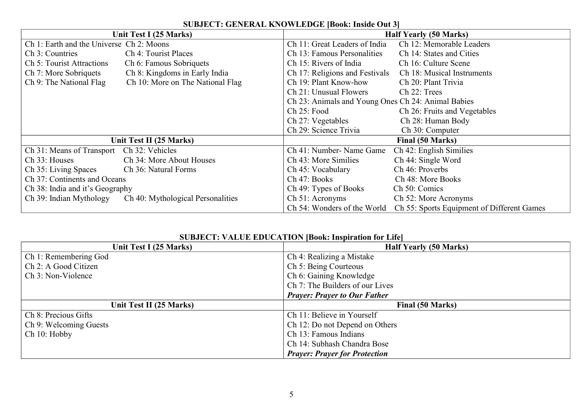|                                           | <b>SUBJECT: GENERAL IMTO MEED OF IDOON: INSIGUOULD</b><br><b>Half Yearly (50 Marks)</b><br>Unit Test I (25 Marks) |                                                    |                                            |
|-------------------------------------------|-------------------------------------------------------------------------------------------------------------------|----------------------------------------------------|--------------------------------------------|
| Ch 1: Earth and the Universe Ch 2: Moons  |                                                                                                                   | Ch 11: Great Leaders of India                      | Ch 12: Memorable Leaders                   |
| Ch 3: Countries                           | Ch 4: Tourist Places                                                                                              | Ch 13: Famous Personalities                        | Ch 14: States and Cities                   |
| Ch 5: Tourist Attractions                 | Ch 6: Famous Sobriquets                                                                                           | Ch 15: Rivers of India                             | Ch 16: Culture Scene                       |
| Ch 7: More Sobriquets                     | Ch 8: Kingdoms in Early India                                                                                     | Ch 17: Religions and Festivals                     | Ch 18: Musical Instruments                 |
| Ch 9: The National Flag                   | Ch 10: More on The National Flag                                                                                  | Ch 19: Plant Know-how                              | Ch 20: Plant Trivia                        |
|                                           |                                                                                                                   | Ch 21: Unusual Flowers                             | Ch 22: Trees                               |
|                                           |                                                                                                                   | Ch 23: Animals and Young Ones Ch 24: Animal Babies |                                            |
|                                           |                                                                                                                   | Ch 25: Food                                        | Ch 26: Fruits and Vegetables               |
|                                           |                                                                                                                   | Ch 27: Vegetables                                  | Ch 28: Human Body                          |
|                                           |                                                                                                                   | Ch 29: Science Trivia                              | Ch 30: Computer                            |
|                                           | Unit Test II (25 Marks)                                                                                           |                                                    | Final (50 Marks)                           |
| Ch 31: Means of Transport Ch 32: Vehicles |                                                                                                                   | Ch 41: Number- Name Game                           | Ch 42: English Similies                    |
| Ch 33: Houses                             | Ch 34: More About Houses                                                                                          | Ch 43: More Similies                               | Ch 44: Single Word                         |
| Ch 35: Living Spaces                      | Ch 36: Natural Forms                                                                                              | Ch 45: Vocabulary                                  | Ch 46: Proverbs                            |
| Ch 37: Continents and Oceans              |                                                                                                                   | Ch 47: Books                                       | Ch 48: More Books                          |
| Ch 38: India and it's Geography           |                                                                                                                   | Ch 49: Types of Books                              | Ch 50: Comics                              |
| Ch 39: Indian Mythology                   | Ch 40: Mythological Personalities                                                                                 | Ch 51: Acronyms                                    | Ch 52: More Acronyms                       |
|                                           |                                                                                                                   | Ch 54: Wonders of the World                        | Ch 55: Sports Equipment of Different Games |

## **SUBJECT: GENERAL KNOWLEDGE [Book: Inside Out 3]**

## **SUBJECT: VALUE EDUCATION [Book: Inspiration for Life]**

| Unit Test I (25 Marks)  | <b>Half Yearly (50 Marks)</b>        |
|-------------------------|--------------------------------------|
| Ch 1: Remembering God   | Ch 4: Realizing a Mistake            |
| Ch 2: A Good Citizen    | Ch 5: Being Courteous                |
| Ch 3: Non-Violence      | Ch 6: Gaining Knowledge              |
|                         | Ch 7: The Builders of our Lives      |
|                         | <b>Prayer: Prayer to Our Father</b>  |
| Unit Test II (25 Marks) | Final (50 Marks)                     |
| Ch 8: Precious Gifts    | Ch 11: Believe in Yourself           |
| Ch 9: Welcoming Guests  | Ch 12: Do not Depend on Others       |
| Ch 10: Hobby            | Ch 13: Famous Indians                |
|                         | Ch 14: Subhash Chandra Bose          |
|                         | <b>Prayer: Prayer for Protection</b> |